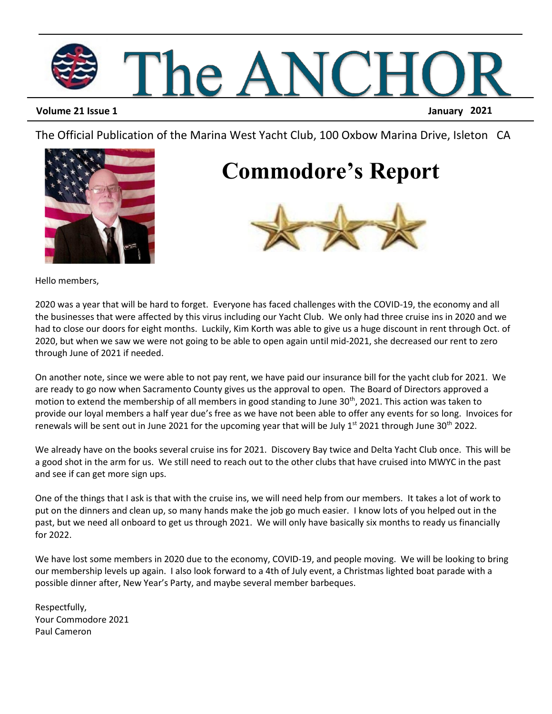

#### **Volume 21 Issue 1 January 2021**

The Official Publication of the Marina West Yacht Club, 100 Oxbow Marina Drive, Isleton CA



### **Commodore's Report**



Hello members,

2020 was a year that will be hard to forget. Everyone has faced challenges with the COVID-19, the economy and all the businesses that were affected by this virus including our Yacht Club. We only had three cruise ins in 2020 and we had to close our doors for eight months. Luckily, Kim Korth was able to give us a huge discount in rent through Oct. of 2020, but when we saw we were not going to be able to open again until mid-2021, she decreased our rent to zero through June of 2021 if needed.

On another note, since we were able to not pay rent, we have paid our insurance bill for the yacht club for 2021. We are ready to go now when Sacramento County gives us the approval to open. The Board of Directors approved a motion to extend the membership of all members in good standing to June 30<sup>th</sup>, 2021. This action was taken to provide our loyal members a half year due's free as we have not been able to offer any events for so long. Invoices for renewals will be sent out in June 2021 for the upcoming year that will be July  $1^{st}$  2021 through June 30<sup>th</sup> 2022.

We already have on the books several cruise ins for 2021. Discovery Bay twice and Delta Yacht Club once. This will be a good shot in the arm for us. We still need to reach out to the other clubs that have cruised into MWYC in the past and see if can get more sign ups.

One of the things that I ask is that with the cruise ins, we will need help from our members. It takes a lot of work to put on the dinners and clean up, so many hands make the job go much easier. I know lots of you helped out in the past, but we need all onboard to get us through 2021. We will only have basically six months to ready us financially for 2022.

We have lost some members in 2020 due to the economy, COVID-19, and people moving. We will be looking to bring our membership levels up again. I also look forward to a 4th of July event, a Christmas lighted boat parade with a possible dinner after, New Year's Party, and maybe several member barbeques.

Respectfully, Your Commodore 2021 Paul Cameron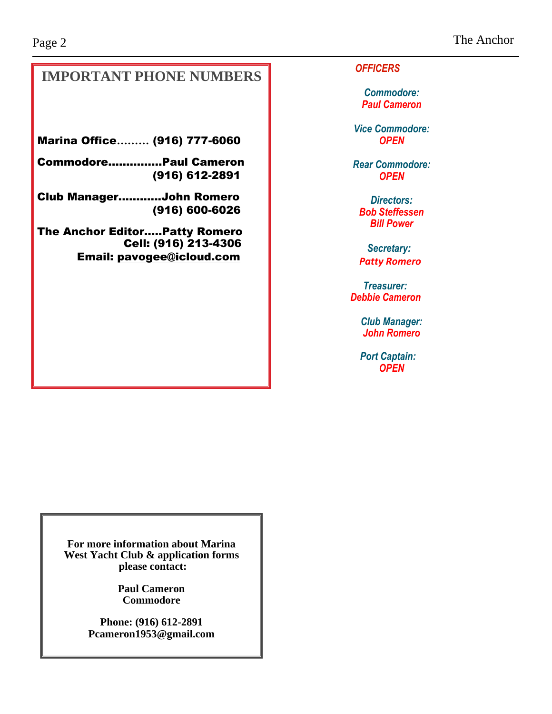#### **IMPORTANT PHONE NUMBERS**

Marina Office**………** (916) 777-6060

Commodore…...……...Paul Cameron (916) 612-2891

Club Manager..……....John Romero (916) 600-6026

The Anchor Editor…..Patty Romero Cell: (916) 213-4306 Email: [pavogee@icloud.com](mailto:pavogee@icloud.com)

*OFFICERS*

*Commodore: Paul Cameron*

*Vice Commodore: OPEN*

*Rear Commodore: OPEN*

*Directors: Bob Steffessen Bill Power*

*Secretary: Patty Romero*

*Treasurer: Debbie Cameron*

> *Club Manager: John Romero*

 *Port Captain: OPEN*

**For more information about Marina West Yacht Club & application forms please contact:**

> **Paul Cameron Commodore**

**Phone: (916) 612-2891 Pcameron1953@gmail.com**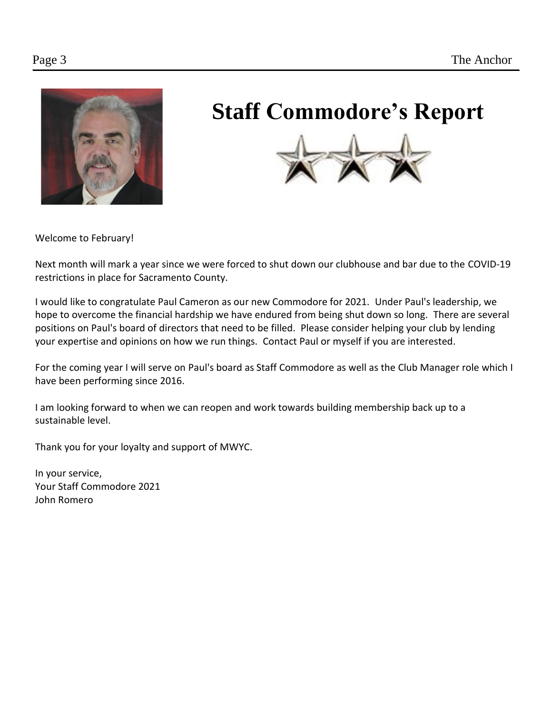

## **Staff Commodore's Report**



Welcome to February!

Next month will mark a year since we were forced to shut down our clubhouse and bar due to the COVID-19 restrictions in place for Sacramento County.

I would like to congratulate Paul Cameron as our new Commodore for 2021. Under Paul's leadership, we hope to overcome the financial hardship we have endured from being shut down so long. There are several positions on Paul's board of directors that need to be filled. Please consider helping your club by lending your expertise and opinions on how we run things. Contact Paul or myself if you are interested.

For the coming year I will serve on Paul's board as Staff Commodore as well as the Club Manager role which I have been performing since 2016.

I am looking forward to when we can reopen and work towards building membership back up to a sustainable level.

Thank you for your loyalty and support of MWYC.

In your service, Your Staff Commodore 2021 John Romero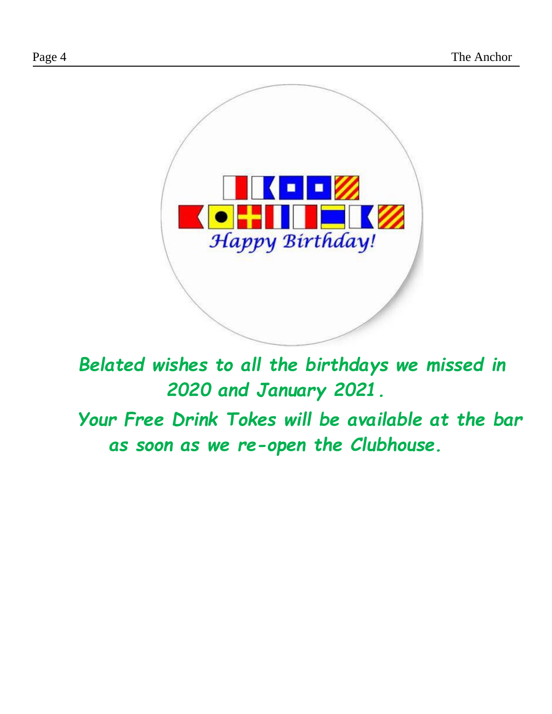

*Belated wishes to all the birthdays we missed in 2020 and January 2021.*

 *Your Free Drink Tokes will be available at the bar as soon as we re-open the Clubhouse.*